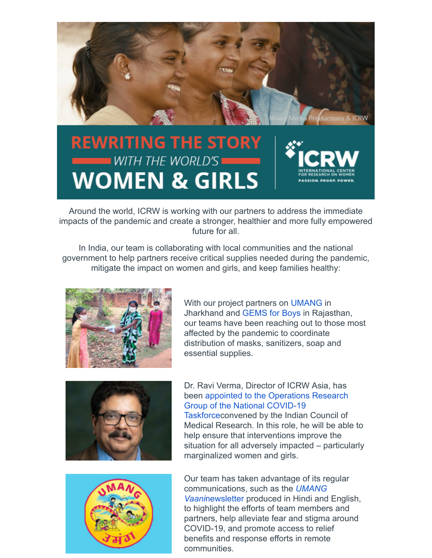

## **REWRITING THE STORY** WITH THE WORLD'S **WOMEN & GIRLS**

Around the world, ICRW is working with our partners to address the immediate impacts of the pandemic and create a stronger, healthier and more fully empowered future for all.

In India, our team is collaborating with local communities and the national government to help partners receive critical supplies needed during the pandemic, mitigate the impact on women and girls, and keep families healthy:



With our project partners on [UMANG](https://click.everyaction.com/k/17556358/198534479/-1519201068?nvep=ew0KICAiVGVuYW50VXJpIjogIm5ncHZhbjovL3Zhbi9FQS9FQTAwNS8xLzc5NjUzIiwNCiAgIkRpc3RyaWJ1dGlvblVuaXF1ZUlkIjogIjNiNGI2NThiLTkzOWEtZWExMS04NmU5LTAwMTU1ZDAzYjVkZCIsDQogICJFbWFpbEFkZHJlc3MiOiAibGlzYUBpbWFnb2RlaWZ1bmQub3JnIg0KfQ%3D%3D&hmac=zuek0Yhua8oRci7o06HU6rTpgzfdeftLWlVTcmeWCLg=&emci=12078bb8-189a-ea11-86e9-00155d03b5dd&emdi=3b4b658b-939a-ea11-86e9-00155d03b5dd&ceid=3738328) in Jharkhand and [GEMS for Boys](https://click.everyaction.com/k/17556359/198534480/484330825?nvep=ew0KICAiVGVuYW50VXJpIjogIm5ncHZhbjovL3Zhbi9FQS9FQTAwNS8xLzc5NjUzIiwNCiAgIkRpc3RyaWJ1dGlvblVuaXF1ZUlkIjogIjNiNGI2NThiLTkzOWEtZWExMS04NmU5LTAwMTU1ZDAzYjVkZCIsDQogICJFbWFpbEFkZHJlc3MiOiAibGlzYUBpbWFnb2RlaWZ1bmQub3JnIg0KfQ%3D%3D&hmac=zuek0Yhua8oRci7o06HU6rTpgzfdeftLWlVTcmeWCLg=&emci=12078bb8-189a-ea11-86e9-00155d03b5dd&emdi=3b4b658b-939a-ea11-86e9-00155d03b5dd&ceid=3738328) in Rajasthan, our teams have been reaching out to those most affected by the pandemic to coordinate distribution of masks, sanitizers, soap and essential supplies.





Dr. Ravi Verma, Director of ICRW Asia, has been appointed to the Operations Research Group of the National COVID-19 [Taskforceconvened by the Indian Council of](https://click.everyaction.com/k/17556360/198534481/771920844?nvep=ew0KICAiVGVuYW50VXJpIjogIm5ncHZhbjovL3Zhbi9FQS9FQTAwNS8xLzc5NjUzIiwNCiAgIkRpc3RyaWJ1dGlvblVuaXF1ZUlkIjogIjNiNGI2NThiLTkzOWEtZWExMS04NmU5LTAwMTU1ZDAzYjVkZCIsDQogICJFbWFpbEFkZHJlc3MiOiAibGlzYUBpbWFnb2RlaWZ1bmQub3JnIg0KfQ%3D%3D&hmac=zuek0Yhua8oRci7o06HU6rTpgzfdeftLWlVTcmeWCLg=&emci=12078bb8-189a-ea11-86e9-00155d03b5dd&emdi=3b4b658b-939a-ea11-86e9-00155d03b5dd&ceid=3738328) Medical Research. In this role, he will be able to help ensure that interventions improve the situation for all adversely impacted – particularly marginalized women and girls.

Our team has taken advantage of its regular [communications, such as the](https://click.everyaction.com/k/17556361/198534482/1168646073?nvep=ew0KICAiVGVuYW50VXJpIjogIm5ncHZhbjovL3Zhbi9FQS9FQTAwNS8xLzc5NjUzIiwNCiAgIkRpc3RyaWJ1dGlvblVuaXF1ZUlkIjogIjNiNGI2NThiLTkzOWEtZWExMS04NmU5LTAwMTU1ZDAzYjVkZCIsDQogICJFbWFpbEFkZHJlc3MiOiAibGlzYUBpbWFnb2RlaWZ1bmQub3JnIg0KfQ%3D%3D&hmac=zuek0Yhua8oRci7o06HU6rTpgzfdeftLWlVTcmeWCLg=&emci=12078bb8-189a-ea11-86e9-00155d03b5dd&emdi=3b4b658b-939a-ea11-86e9-00155d03b5dd&ceid=3738328) *UMANG Vaani*newsletter produced in Hindi and English, to highlight the efforts of team members and partners, help alleviate fear and stigma around COVID-19, and promote access to relief benefits and response efforts in remote communities.